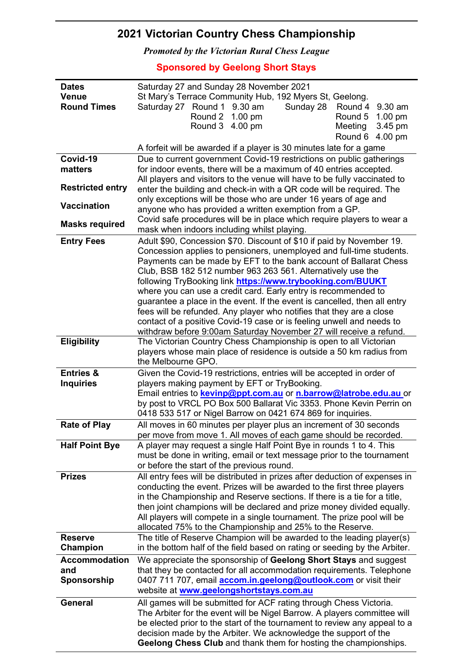## 2021 Victorian Country Chess Championship

Promoted by the Victorian Rural Chess League

Sponsored by Geelong Short Stays

| <b>Dates</b>            | Saturday 27 and Sunday 28 November 2021                                                                                                            |  |  |  |
|-------------------------|----------------------------------------------------------------------------------------------------------------------------------------------------|--|--|--|
| <b>Venue</b>            | St Mary's Terrace Community Hub, 192 Myers St, Geelong.                                                                                            |  |  |  |
| <b>Round Times</b>      | Saturday 27 Round 1 9.30 am<br>Sunday 28<br>Round 4 9.30 am                                                                                        |  |  |  |
|                         | Round 2 1.00 pm<br>Round 5<br>$1.00 \text{ pm}$                                                                                                    |  |  |  |
|                         | Round 3 4.00 pm<br>Meeting<br>3.45 pm                                                                                                              |  |  |  |
|                         | Round 6<br>4.00 pm                                                                                                                                 |  |  |  |
|                         | A forfeit will be awarded if a player is 30 minutes late for a game                                                                                |  |  |  |
| Covid-19                | Due to current government Covid-19 restrictions on public gatherings                                                                               |  |  |  |
| matters                 | for indoor events, there will be a maximum of 40 entries accepted.                                                                                 |  |  |  |
| <b>Restricted entry</b> | All players and visitors to the venue will have to be fully vaccinated to<br>enter the building and check-in with a QR code will be required. The  |  |  |  |
|                         | only exceptions will be those who are under 16 years of age and                                                                                    |  |  |  |
| <b>Vaccination</b>      | anyone who has provided a written exemption from a GP.                                                                                             |  |  |  |
|                         | Covid safe procedures will be in place which require players to wear a                                                                             |  |  |  |
| <b>Masks required</b>   | mask when indoors including whilst playing.                                                                                                        |  |  |  |
| <b>Entry Fees</b>       | Adult \$90, Concession \$70. Discount of \$10 if paid by November 19.                                                                              |  |  |  |
|                         | Concession applies to pensioners, unemployed and full-time students.                                                                               |  |  |  |
|                         | Payments can be made by EFT to the bank account of Ballarat Chess                                                                                  |  |  |  |
|                         | Club, BSB 182 512 number 963 263 561. Alternatively use the                                                                                        |  |  |  |
|                         | following TryBooking link https://www.trybooking.com/BUUKT<br>where you can use a credit card. Early entry is recommended to                       |  |  |  |
|                         | guarantee a place in the event. If the event is cancelled, then all entry                                                                          |  |  |  |
|                         | fees will be refunded. Any player who notifies that they are a close                                                                               |  |  |  |
|                         | contact of a positive Covid-19 case or is feeling unwell and needs to                                                                              |  |  |  |
|                         | withdraw before 9:00am Saturday November 27 will receive a refund.                                                                                 |  |  |  |
| <b>Eligibility</b>      | The Victorian Country Chess Championship is open to all Victorian                                                                                  |  |  |  |
|                         | players whose main place of residence is outside a 50 km radius from                                                                               |  |  |  |
|                         | the Melbourne GPO.                                                                                                                                 |  |  |  |
| <b>Entries &amp;</b>    | Given the Covid-19 restrictions, entries will be accepted in order of                                                                              |  |  |  |
| <b>Inquiries</b>        | players making payment by EFT or TryBooking.                                                                                                       |  |  |  |
|                         | Email entries to <b>kevinp@ppt.com.au</b> or n.barrow@latrobe.edu.au or<br>by post to VRCL PO Box 500 Ballarat Vic 3353. Phone Kevin Perrin on     |  |  |  |
|                         | 0418 533 517 or Nigel Barrow on 0421 674 869 for inquiries.                                                                                        |  |  |  |
| <b>Rate of Play</b>     | All moves in 60 minutes per player plus an increment of 30 seconds                                                                                 |  |  |  |
|                         | per move from move 1. All moves of each game should be recorded.                                                                                   |  |  |  |
| <b>Half Point Bye</b>   | A player may request a single Half Point Bye in rounds 1 to 4. This                                                                                |  |  |  |
|                         | must be done in writing, email or text message prior to the tournament                                                                             |  |  |  |
|                         | or before the start of the previous round.                                                                                                         |  |  |  |
| <b>Prizes</b>           | All entry fees will be distributed in prizes after deduction of expenses in                                                                        |  |  |  |
|                         | conducting the event. Prizes will be awarded to the first three players                                                                            |  |  |  |
|                         | in the Championship and Reserve sections. If there is a tie for a title,<br>then joint champions will be declared and prize money divided equally. |  |  |  |
|                         | All players will compete in a single tournament. The prize pool will be                                                                            |  |  |  |
|                         | allocated 75% to the Championship and 25% to the Reserve.                                                                                          |  |  |  |
| <b>Reserve</b>          | The title of Reserve Champion will be awarded to the leading player(s)                                                                             |  |  |  |
| Champion                | in the bottom half of the field based on rating or seeding by the Arbiter.                                                                         |  |  |  |
| <b>Accommodation</b>    | We appreciate the sponsorship of Geelong Short Stays and suggest                                                                                   |  |  |  |
| and                     | that they be contacted for all accommodation requirements. Telephone                                                                               |  |  |  |
| Sponsorship             | 0407 711 707, email <b>accom.in.geelong@outlook.com</b> or visit their                                                                             |  |  |  |
|                         | website at www.geelongshortstays.com.au                                                                                                            |  |  |  |
| <b>General</b>          | All games will be submitted for ACF rating through Chess Victoria.                                                                                 |  |  |  |
|                         | The Arbiter for the event will be Nigel Barrow. A players committee will                                                                           |  |  |  |
|                         | be elected prior to the start of the tournament to review any appeal to a                                                                          |  |  |  |
|                         | decision made by the Arbiter. We acknowledge the support of the                                                                                    |  |  |  |
|                         | Geelong Chess Club and thank them for hosting the championships.                                                                                   |  |  |  |